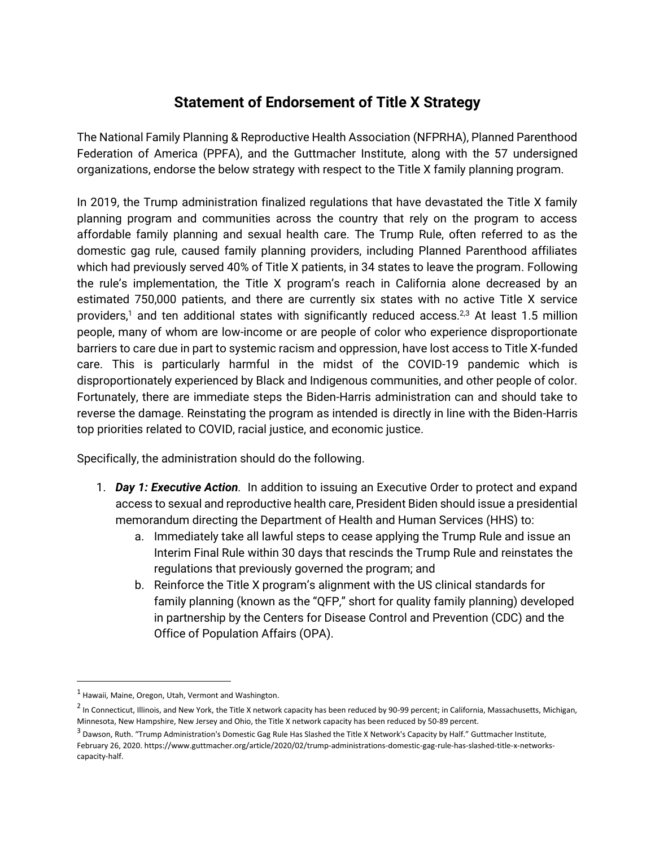## **Statement of Endorsement of Title X Strategy**

The National Family Planning & Reproductive Health Association (NFPRHA), Planned Parenthood Federation of America (PPFA), and the Guttmacher Institute, along with the 57 undersigned organizations, endorse the below strategy with respect to the Title X family planning program.

In 2019, the Trump administration finalized regulations that have devastated the Title X family planning program and communities across the country that rely on the program to access affordable family planning and sexual health care. The Trump Rule, often referred to as the domestic gag rule, caused family planning providers, including Planned Parenthood affiliates which had previously served 40% of Title X patients, in 34 states to leave the program. Following the rule's implementation, the Title X program's reach in California alone decreased by an estimated 750,000 patients, and there are currently six states with no active Title X service providers,<sup>1</sup> and ten additional states with significantly reduced access.<sup>2,3</sup> At least 1.5 million people, many of whom are low-income or are people of color who experience disproportionate barriers to care due in part to systemic racism and oppression, have lost access to Title X-funded care. This is particularly harmful in the midst of the COVID-19 pandemic which is disproportionately experienced by Black and Indigenous communities, and other people of color. Fortunately, there are immediate steps the Biden-Harris administration can and should take to reverse the damage. Reinstating the program as intended is directly in line with the Biden-Harris top priorities related to COVID, racial justice, and economic justice.

Specifically, the administration should do the following.

- 1. *Day 1: Executive Action.* In addition to issuing an Executive Order to protect and expand access to sexual and reproductive health care, President Biden should issue a presidential memorandum directing the Department of Health and Human Services (HHS) to:
	- a. Immediately take all lawful steps to cease applying the Trump Rule and issue an Interim Final Rule within 30 days that rescinds the Trump Rule and reinstates the regulations that previously governed the program; and
	- b. Reinforce the Title X program's alignment with the US clinical standards for family planning (known as the "QFP," short for quality family planning) developed in partnership by the Centers for Disease Control and Prevention (CDC) and the Office of Population Affairs (OPA).

 $<sup>1</sup>$  Hawaii, Maine, Oregon, Utah, Vermont and Washington.</sup>

 $^2$  In Connecticut, Illinois, and New York, the Title X network capacity has been reduced by 90-99 percent; in California, Massachusetts, Michigan, Minnesota, New Hampshire, New Jersey and Ohio, the Title X network capacity has been reduced by 50-89 percent.

 $^3$  Dawson, Ruth. "Trump Administration's Domestic Gag Rule Has Slashed the Title X Network's Capacity by Half." Guttmacher Institute, February 26, 2020. https://www.guttmacher.org/article/2020/02/trump-administrations-domestic-gag-rule-has-slashed-title-x-networkscapacity-half.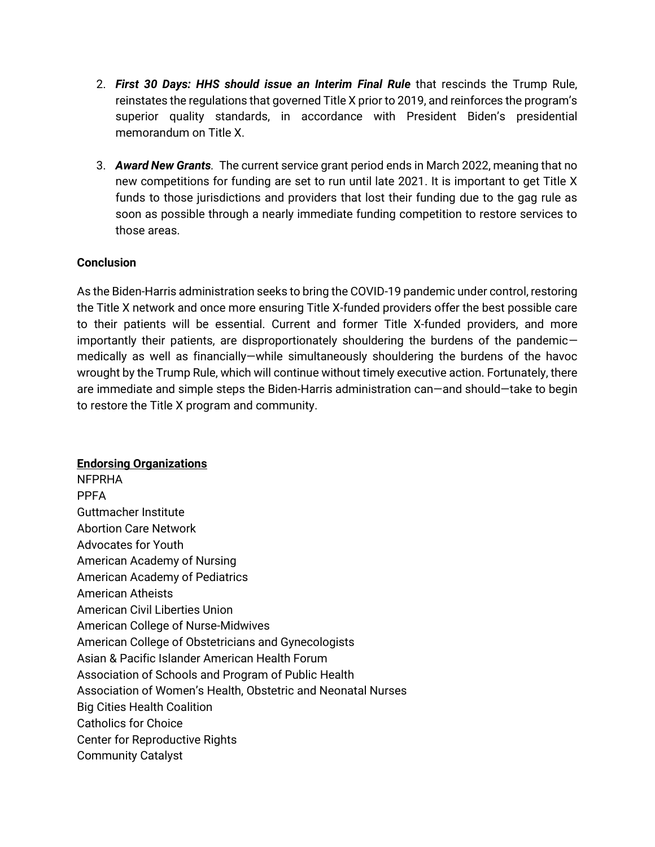- 2. *First 30 Days: HHS should issue an Interim Final Rule* that rescinds the Trump Rule, reinstates the regulations that governed Title X prior to 2019, and reinforces the program's superior quality standards, in accordance with President Biden's presidential memorandum on Title X.
- 3. *Award New Grants.* The current service grant period ends in March 2022, meaning that no new competitions for funding are set to run until late 2021. It is important to get Title X funds to those jurisdictions and providers that lost their funding due to the gag rule as soon as possible through a nearly immediate funding competition to restore services to those areas.

## **Conclusion**

As the Biden-Harris administration seeks to bring the COVID-19 pandemic under control, restoring the Title X network and once more ensuring Title X-funded providers offer the best possible care to their patients will be essential. Current and former Title X-funded providers, and more importantly their patients, are disproportionately shouldering the burdens of the pandemic medically as well as financially—while simultaneously shouldering the burdens of the havoc wrought by the Trump Rule, which will continue without timely executive action. Fortunately, there are immediate and simple steps the Biden-Harris administration can—and should—take to begin to restore the Title X program and community.

## **Endorsing Organizations**

NFPRHA PPFA Guttmacher Institute Abortion Care Network Advocates for Youth American Academy of Nursing American Academy of Pediatrics American Atheists American Civil Liberties Union American College of Nurse-Midwives American College of Obstetricians and Gynecologists Asian & Pacific Islander American Health Forum Association of Schools and Program of Public Health Association of Women's Health, Obstetric and Neonatal Nurses Big Cities Health Coalition Catholics for Choice Center for Reproductive Rights Community Catalyst